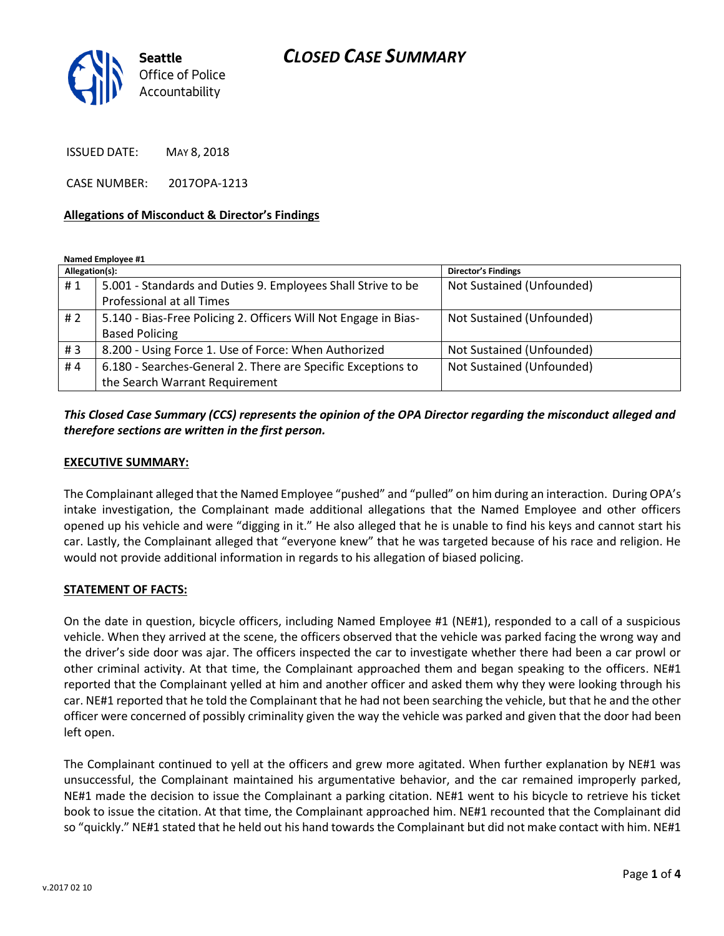## *CLOSED CASE SUMMARY*



ISSUED DATE: MAY 8, 2018

CASE NUMBER: 2017OPA-1213

#### **Allegations of Misconduct & Director's Findings**

**Named Employee #1**

| Allegation(s): |                                                                 | Director's Findings       |
|----------------|-----------------------------------------------------------------|---------------------------|
| #1             | 5.001 - Standards and Duties 9. Employees Shall Strive to be    | Not Sustained (Unfounded) |
|                | Professional at all Times                                       |                           |
| # $2$          | 5.140 - Bias-Free Policing 2. Officers Will Not Engage in Bias- | Not Sustained (Unfounded) |
|                | <b>Based Policing</b>                                           |                           |
| #3             | 8.200 - Using Force 1. Use of Force: When Authorized            | Not Sustained (Unfounded) |
| #4             | 6.180 - Searches-General 2. There are Specific Exceptions to    | Not Sustained (Unfounded) |
|                | the Search Warrant Requirement                                  |                           |

### *This Closed Case Summary (CCS) represents the opinion of the OPA Director regarding the misconduct alleged and therefore sections are written in the first person.*

#### **EXECUTIVE SUMMARY:**

The Complainant alleged that the Named Employee "pushed" and "pulled" on him during an interaction. During OPA's intake investigation, the Complainant made additional allegations that the Named Employee and other officers opened up his vehicle and were "digging in it." He also alleged that he is unable to find his keys and cannot start his car. Lastly, the Complainant alleged that "everyone knew" that he was targeted because of his race and religion. He would not provide additional information in regards to his allegation of biased policing.

#### **STATEMENT OF FACTS:**

On the date in question, bicycle officers, including Named Employee #1 (NE#1), responded to a call of a suspicious vehicle. When they arrived at the scene, the officers observed that the vehicle was parked facing the wrong way and the driver's side door was ajar. The officers inspected the car to investigate whether there had been a car prowl or other criminal activity. At that time, the Complainant approached them and began speaking to the officers. NE#1 reported that the Complainant yelled at him and another officer and asked them why they were looking through his car. NE#1 reported that he told the Complainant that he had not been searching the vehicle, but that he and the other officer were concerned of possibly criminality given the way the vehicle was parked and given that the door had been left open.

The Complainant continued to yell at the officers and grew more agitated. When further explanation by NE#1 was unsuccessful, the Complainant maintained his argumentative behavior, and the car remained improperly parked, NE#1 made the decision to issue the Complainant a parking citation. NE#1 went to his bicycle to retrieve his ticket book to issue the citation. At that time, the Complainant approached him. NE#1 recounted that the Complainant did so "quickly." NE#1 stated that he held out his hand towards the Complainant but did not make contact with him. NE#1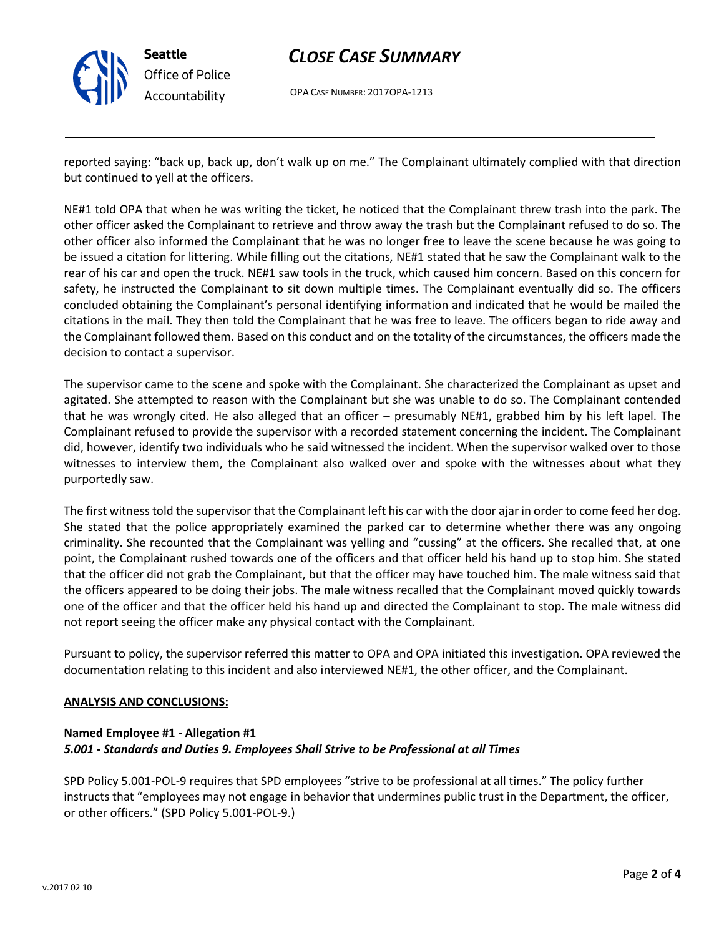

## *CLOSE CASE SUMMARY*

OPA CASE NUMBER: 2017OPA-1213

reported saying: "back up, back up, don't walk up on me." The Complainant ultimately complied with that direction but continued to yell at the officers.

NE#1 told OPA that when he was writing the ticket, he noticed that the Complainant threw trash into the park. The other officer asked the Complainant to retrieve and throw away the trash but the Complainant refused to do so. The other officer also informed the Complainant that he was no longer free to leave the scene because he was going to be issued a citation for littering. While filling out the citations, NE#1 stated that he saw the Complainant walk to the rear of his car and open the truck. NE#1 saw tools in the truck, which caused him concern. Based on this concern for safety, he instructed the Complainant to sit down multiple times. The Complainant eventually did so. The officers concluded obtaining the Complainant's personal identifying information and indicated that he would be mailed the citations in the mail. They then told the Complainant that he was free to leave. The officers began to ride away and the Complainant followed them. Based on this conduct and on the totality of the circumstances, the officers made the decision to contact a supervisor.

The supervisor came to the scene and spoke with the Complainant. She characterized the Complainant as upset and agitated. She attempted to reason with the Complainant but she was unable to do so. The Complainant contended that he was wrongly cited. He also alleged that an officer – presumably NE#1, grabbed him by his left lapel. The Complainant refused to provide the supervisor with a recorded statement concerning the incident. The Complainant did, however, identify two individuals who he said witnessed the incident. When the supervisor walked over to those witnesses to interview them, the Complainant also walked over and spoke with the witnesses about what they purportedly saw.

The first witness told the supervisor that the Complainant left his car with the door ajar in order to come feed her dog. She stated that the police appropriately examined the parked car to determine whether there was any ongoing criminality. She recounted that the Complainant was yelling and "cussing" at the officers. She recalled that, at one point, the Complainant rushed towards one of the officers and that officer held his hand up to stop him. She stated that the officer did not grab the Complainant, but that the officer may have touched him. The male witness said that the officers appeared to be doing their jobs. The male witness recalled that the Complainant moved quickly towards one of the officer and that the officer held his hand up and directed the Complainant to stop. The male witness did not report seeing the officer make any physical contact with the Complainant.

Pursuant to policy, the supervisor referred this matter to OPA and OPA initiated this investigation. OPA reviewed the documentation relating to this incident and also interviewed NE#1, the other officer, and the Complainant.

### **ANALYSIS AND CONCLUSIONS:**

### **Named Employee #1 - Allegation #1** *5.001 - Standards and Duties 9. Employees Shall Strive to be Professional at all Times*

SPD Policy 5.001-POL-9 requires that SPD employees "strive to be professional at all times." The policy further instructs that "employees may not engage in behavior that undermines public trust in the Department, the officer, or other officers." (SPD Policy 5.001-POL-9.)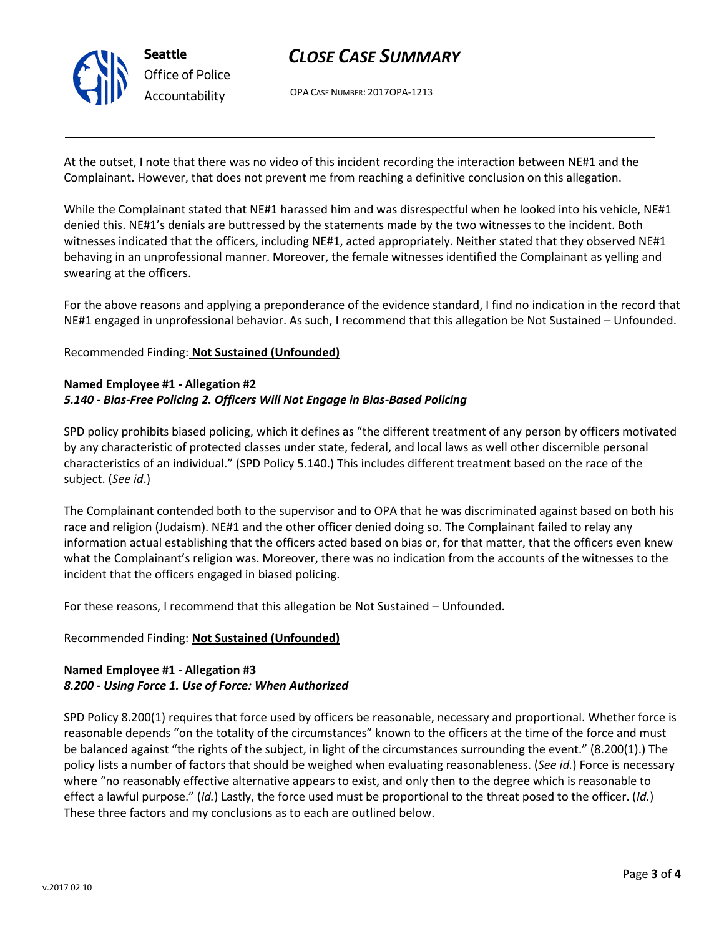

## *CLOSE CASE SUMMARY*

OPA CASE NUMBER: 2017OPA-1213

At the outset, I note that there was no video of this incident recording the interaction between NE#1 and the Complainant. However, that does not prevent me from reaching a definitive conclusion on this allegation.

While the Complainant stated that NE#1 harassed him and was disrespectful when he looked into his vehicle, NE#1 denied this. NE#1's denials are buttressed by the statements made by the two witnesses to the incident. Both witnesses indicated that the officers, including NE#1, acted appropriately. Neither stated that they observed NE#1 behaving in an unprofessional manner. Moreover, the female witnesses identified the Complainant as yelling and swearing at the officers.

For the above reasons and applying a preponderance of the evidence standard, I find no indication in the record that NE#1 engaged in unprofessional behavior. As such, I recommend that this allegation be Not Sustained – Unfounded.

### Recommended Finding: **Not Sustained (Unfounded)**

### **Named Employee #1 - Allegation #2** *5.140 - Bias-Free Policing 2. Officers Will Not Engage in Bias-Based Policing*

SPD policy prohibits biased policing, which it defines as "the different treatment of any person by officers motivated by any characteristic of protected classes under state, federal, and local laws as well other discernible personal characteristics of an individual." (SPD Policy 5.140.) This includes different treatment based on the race of the subject. (*See id*.)

The Complainant contended both to the supervisor and to OPA that he was discriminated against based on both his race and religion (Judaism). NE#1 and the other officer denied doing so. The Complainant failed to relay any information actual establishing that the officers acted based on bias or, for that matter, that the officers even knew what the Complainant's religion was. Moreover, there was no indication from the accounts of the witnesses to the incident that the officers engaged in biased policing.

For these reasons, I recommend that this allegation be Not Sustained – Unfounded.

### Recommended Finding: **Not Sustained (Unfounded)**

### **Named Employee #1 - Allegation #3** *8.200 - Using Force 1. Use of Force: When Authorized*

SPD Policy 8.200(1) requires that force used by officers be reasonable, necessary and proportional. Whether force is reasonable depends "on the totality of the circumstances" known to the officers at the time of the force and must be balanced against "the rights of the subject, in light of the circumstances surrounding the event." (8.200(1).) The policy lists a number of factors that should be weighed when evaluating reasonableness. (*See id.*) Force is necessary where "no reasonably effective alternative appears to exist, and only then to the degree which is reasonable to effect a lawful purpose." (*Id.*) Lastly, the force used must be proportional to the threat posed to the officer. (*Id.*) These three factors and my conclusions as to each are outlined below.